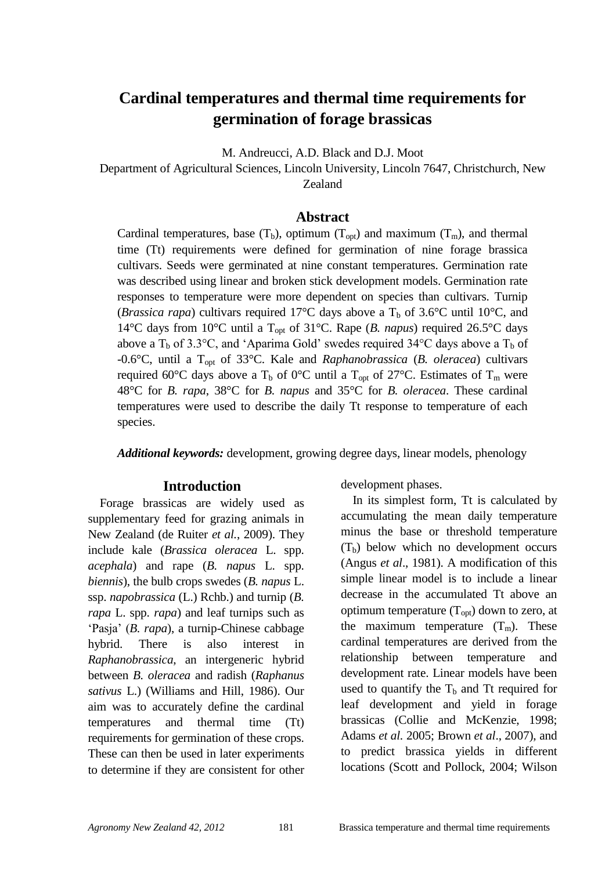# **Cardinal temperatures and thermal time requirements for germination of forage brassicas**

M. Andreucci, A.D. Black and D.J. Moot

Department of Agricultural Sciences, Lincoln University, Lincoln 7647, Christchurch, New Zealand

#### **Abstract**

Cardinal temperatures, base  $(T_b)$ , optimum  $(T_{opt})$  and maximum  $(T_m)$ , and thermal time (Tt) requirements were defined for germination of nine forage brassica cultivars. Seeds were germinated at nine constant temperatures. Germination rate was described using linear and broken stick development models. Germination rate responses to temperature were more dependent on species than cultivars. Turnip (*Brassica rapa*) cultivars required 17<sup>o</sup>C days above a  $T<sub>b</sub>$  of 3.6<sup>o</sup>C until 10<sup>o</sup>C, and 14°C days from 10°C until a Topt of 31°C. Rape (*B. napus*) required 26.5°C days above a  $T_b$  of 3.3°C, and 'Aparima Gold' swedes required 34°C days above a  $T_b$  of -0.6°C, until a Topt of 33°C. Kale and *Raphanobrassica* (*B. oleracea*) cultivars required 60°C days above a T<sub>b</sub> of 0°C until a T<sub>opt</sub> of 27°C. Estimates of T<sub>m</sub> were 48°C for *B. rapa*, 38°C for *B. napus* and 35°C for *B. oleracea*. These cardinal temperatures were used to describe the daily Tt response to temperature of each species.

*Additional keywords:* development, growing degree days, linear models, phenology

#### **Introduction**

Forage brassicas are widely used as supplementary feed for grazing animals in New Zealand (de Ruiter *et al.*, 2009). They include kale (*Brassica oleracea* L. spp. *acephala*) and rape (*B. napus* L. spp. *biennis*), the bulb crops swedes (*B. napus* L. ssp. *napobrassica* (L.) Rchb.) and turnip (*B. rapa* L. spp. *rapa*) and leaf turnips such as "Pasja" (*B. rapa*), a turnip-Chinese cabbage hybrid. There is also interest in *Raphanobrassica*, an intergeneric hybrid between *B. oleracea* and radish (*Raphanus sativus* L.) (Williams and Hill, 1986). Our aim was to accurately define the cardinal temperatures and thermal time (Tt) requirements for germination of these crops. These can then be used in later experiments to determine if they are consistent for other development phases.

In its simplest form, Tt is calculated by accumulating the mean daily temperature minus the base or threshold temperature  $(T<sub>b</sub>)$  below which no development occurs (Angus *et al*., 1981). A modification of this simple linear model is to include a linear decrease in the accumulated Tt above an optimum temperature  $(T_{\text{out}})$  down to zero, at the maximum temperature  $(T_m)$ . These cardinal temperatures are derived from the relationship between temperature and development rate. Linear models have been used to quantify the  $T<sub>b</sub>$  and Tt required for leaf development and yield in forage brassicas (Collie and McKenzie, 1998; Adams *et al.* 2005; Brown *et al*., 2007), and to predict brassica yields in different locations (Scott and Pollock, 2004; Wilson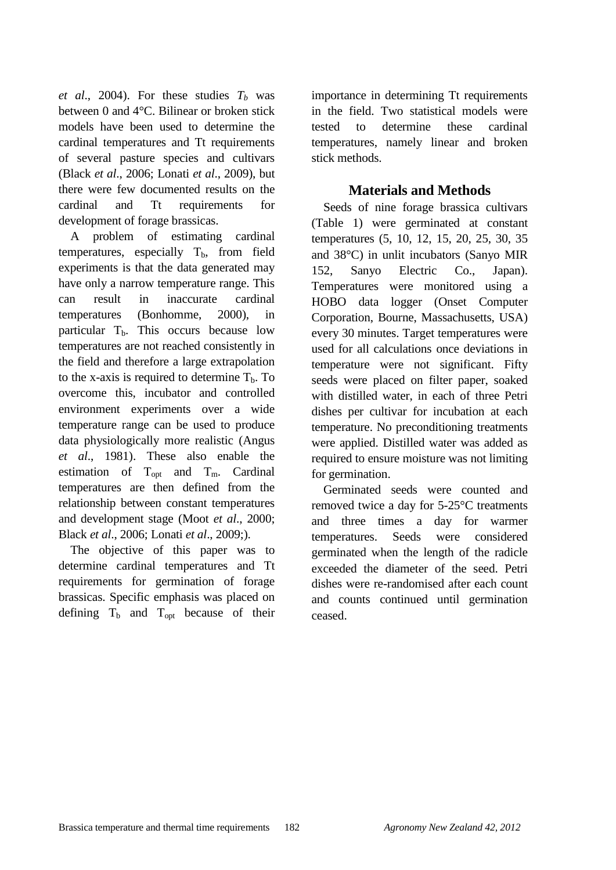*et al.*, 2004). For these studies  $T_b$  was between 0 and 4°C. Bilinear or broken stick models have been used to determine the cardinal temperatures and Tt requirements of several pasture species and cultivars (Black *et al*., 2006; Lonati *et al*., 2009), but there were few documented results on the cardinal and Tt requirements for development of forage brassicas.

A problem of estimating cardinal temperatures, especially  $T_b$ , from field experiments is that the data generated may have only a narrow temperature range. This can result in inaccurate cardinal temperatures (Bonhomme, 2000), in particular  $T<sub>b</sub>$ . This occurs because low temperatures are not reached consistently in the field and therefore a large extrapolation to the x-axis is required to determine  $T_b$ . To overcome this, incubator and controlled environment experiments over a wide temperature range can be used to produce data physiologically more realistic (Angus *et al*., 1981). These also enable the estimation of  $T_{\text{opt}}$  and  $T_{\text{m}}$ . Cardinal temperatures are then defined from the relationship between constant temperatures and development stage (Moot *et al*., 2000; Black *et al*., 2006; Lonati *et al*., 2009;).

The objective of this paper was to determine cardinal temperatures and Tt requirements for germination of forage brassicas. Specific emphasis was placed on defining  $T_b$  and  $T_{opt}$  because of their

importance in determining Tt requirements in the field. Two statistical models were tested to determine these cardinal temperatures, namely linear and broken stick methods.

# **Materials and Methods**

Seeds of nine forage brassica cultivars (Table 1) were germinated at constant temperatures (5, 10, 12, 15, 20, 25, 30, 35 and 38°C) in unlit incubators (Sanyo MIR 152, Sanyo Electric Co., Japan). Temperatures were monitored using a HOBO data logger (Onset Computer Corporation, Bourne, Massachusetts, USA) every 30 minutes. Target temperatures were used for all calculations once deviations in temperature were not significant. Fifty seeds were placed on filter paper, soaked with distilled water, in each of three Petri dishes per cultivar for incubation at each temperature. No preconditioning treatments were applied. Distilled water was added as required to ensure moisture was not limiting for germination.

Germinated seeds were counted and removed twice a day for 5-25°C treatments and three times a day for warmer temperatures. Seeds were considered germinated when the length of the radicle exceeded the diameter of the seed. Petri dishes were re-randomised after each count and counts continued until germination ceased.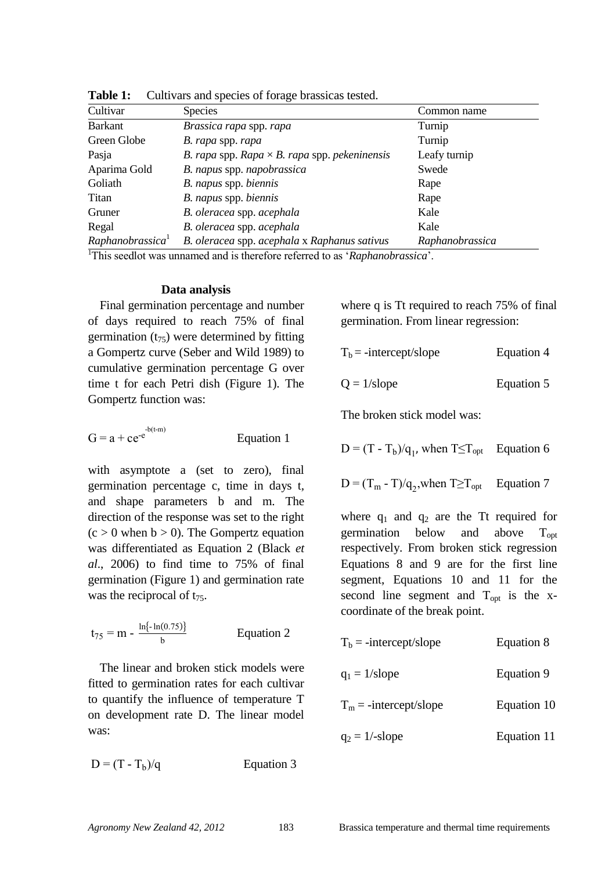| Cultivar                     | <b>Species</b>                                       | Common name     |
|------------------------------|------------------------------------------------------|-----------------|
| <b>Barkant</b>               | Brassica rapa spp. rapa                              | Turnip          |
| Green Globe                  | B. rapa spp. rapa                                    | Turnip          |
| Pasja                        | B. rapa spp. Rapa $\times$ B. rapa spp. pekeninensis | Leafy turnip    |
| Aparima Gold                 | B. napus spp. napobrassica                           | Swede           |
| Goliath                      | B. napus spp. biennis                                | Rape            |
| Titan                        | B. napus spp. biennis                                | Rape            |
| Gruner                       | B. oleracea spp. acephala                            | Kale            |
| Regal                        | B. oleracea spp. acephala                            | Kale            |
| Raphanobrassica <sup>1</sup> | B. oleracea spp. acephala x Raphanus sativus         | Raphanobrassica |

**Table 1:** Cultivars and species of forage brassicas tested.

<sup>1</sup>This seedlot was unnamed and is therefore referred to as '*Raphanobrassica*'.

#### **Data analysis**

Final germination percentage and number of days required to reach 75% of final germination  $(t_{75})$  were determined by fitting a Gompertz curve (Seber and Wild 1989) to cumulative germination percentage G over time t for each Petri dish (Figure 1). The Gompertz function was:

$$
G = a + ce^{-e^{-(t-m)}}
$$
 Equation 1

with asymptote a (set to zero), final germination percentage c, time in days t*,*  and shape parameters b and m. The direction of the response was set to the right  $(c > 0$  when  $b > 0$ ). The Gompertz equation was differentiated as Equation 2 (Black *et al*., 2006) to find time to 75% of final germination (Figure 1) and germination rate was the reciprocal of  $t_{75}$ .

$$
t_{75} = m - \frac{ln(-ln(0.75))}{b}
$$
 Equation 2

The linear and broken stick models were fitted to germination rates for each cultivar to quantify the influence of temperature T on development rate D. The linear model was:

 $D = (T - T_b)/a$ Equation 3 where q is Tt required to reach 75% of final germination. From linear regression:

$$
T_b = -intercept/slope
$$
 Equation 4

$$
Q = 1/\text{slope}
$$
 Equation 5

The broken stick model was:

$$
D = (T - T_b)/q_1
$$
, when  $T \le T_{opt}$  Equation 6

$$
D = (T_m - T)/q_2, when T \ge T_{opt}
$$
 Equation 7

where  $q_1$  and  $q_2$  are the Tt required for germination below and above  $T_{\text{out}}$ respectively. From broken stick regression Equations 8 and 9 are for the first line segment, Equations 10 and 11 for the second line segment and  $T_{opt}$  is the xcoordinate of the break point.

| $Tb$ = -intercept/slope  | Equation 8  |
|--------------------------|-------------|
| $q_1 = 1$ /slope         | Equation 9  |
| $T_m$ = -intercept/slope | Equation 10 |
| $q_2 = 1$ /-slope        | Equation 11 |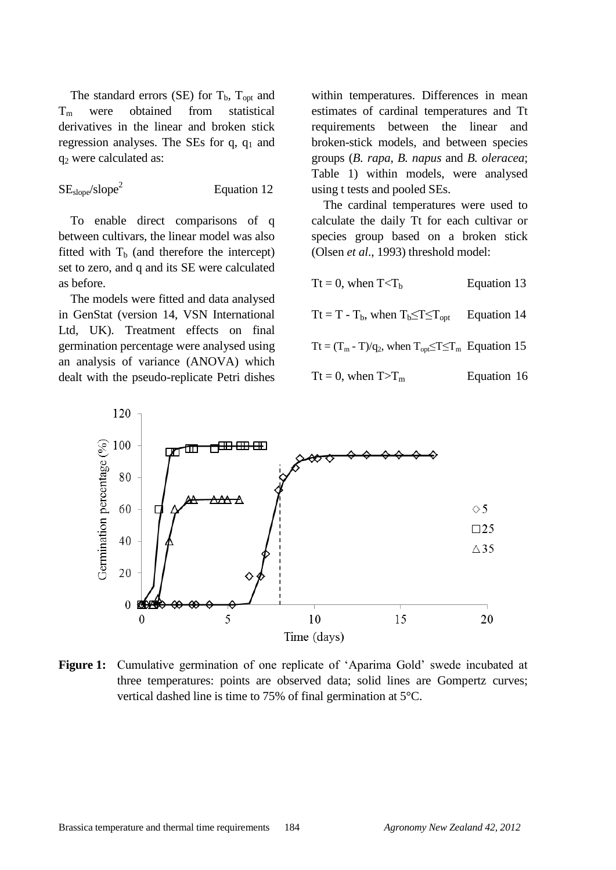The standard errors (SE) for  $T_b$ ,  $T_{opt}$  and  $T_m$  were obtained from statistical derivatives in the linear and broken stick regression analyses. The SEs for  $q$ ,  $q_1$  and q<sup>2</sup> were calculated as:

$$
SE_{slope}/slope^2 \t\t Equation 12
$$

To enable direct comparisons of q between cultivars, the linear model was also fitted with  $T<sub>b</sub>$  (and therefore the intercept) set to zero, and q and its SE were calculated as before.

The models were fitted and data analysed in GenStat (version 14, VSN International Ltd, UK). Treatment effects on final germination percentage were analysed using an analysis of variance (ANOVA) which dealt with the pseudo-replicate Petri dishes

within temperatures. Differences in mean estimates of cardinal temperatures and Tt requirements between the linear and broken-stick models, and between species groups (*B. rapa*, *B. napus* and *B. oleracea*; Table 1) within models, were analysed using t tests and pooled SEs.

The cardinal temperatures were used to calculate the daily Tt for each cultivar or species group based on a broken stick (Olsen *et al*., 1993) threshold model:

Tt = 0, when  $T < T_b$  Equation 13 Tt = T - T<sub>b</sub>, when  $T_b \leq T \leq T_{\text{opt}}$  Equation 14 Tt =  $(T_m - T)/q_2$ , when  $T_{\text{opt}} \leq T \leq T_m$  Equation 15 Tt = 0, when  $T>T_m$  Equation 16



Figure 1: Cumulative germination of one replicate of 'Aparima Gold' swede incubated at three temperatures: points are observed data; solid lines are Gompertz curves; vertical dashed line is time to 75% of final germination at 5°C.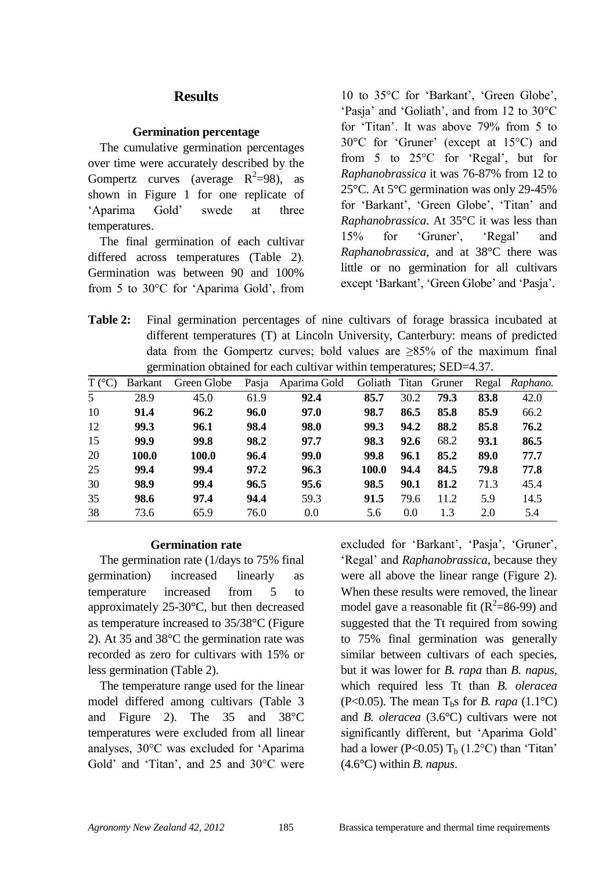# **Results**

### **Germination percentage**

The cumulative germination percentages over time were accurately described by the Gompertz curves (average  $R^2=98$ ), as shown in Figure 1 for one replicate of "Aparima Gold" swede at three temperatures.

The final germination of each cultivar differed across temperatures (Table 2). Germination was between 90 and 100% from 5 to 30°C for "Aparima Gold", from

10 to 35°C for 'Barkant', 'Green Globe', 'Pasja' and 'Goliath', and from 12 to 30°C for "Titan". It was above 79% from 5 to 30°C for "Gruner" (except at 15°C) and from 5 to 25°C for "Regal", but for *Raphanobrassica* it was 76-87% from 12 to 25°C. At 5°C germination was only 29-45% for 'Barkant', 'Green Globe', 'Titan' and *Raphanobrassica*. At 35°C it was less than 15% for "Gruner", "Regal" and *Raphanobrassica*, and at 38°C there was little or no germination for all cultivars except 'Barkant', 'Green Globe' and 'Pasja'.

**Table 2:** Final germination percentages of nine cultivars of forage brassica incubated at different temperatures (T) at Lincoln University, Canterbury: means of predicted data from the Gompertz curves; bold values are ≥85% of the maximum final germination obtained for each cultivar within temperatures; SED=4.37.

|                 | ີ       |             |       |              |                      |      |      |       |          |
|-----------------|---------|-------------|-------|--------------|----------------------|------|------|-------|----------|
| $T (^{\circ}C)$ | Barkant | Green Globe | Pasja | Aparima Gold | Goliath Titan Gruner |      |      | Regal | Raphano. |
| 5               | 28.9    | 45.0        | 61.9  | 92.4         | 85.7                 | 30.2 | 79.3 | 83.8  | 42.0     |
| 10              | 91.4    | 96.2        | 96.0  | 97.0         | 98.7                 | 86.5 | 85.8 | 85.9  | 66.2     |
| 12              | 99.3    | 96.1        | 98.4  | 98.0         | 99.3                 | 94.2 | 88.2 | 85.8  | 76.2     |
| 15              | 99.9    | 99.8        | 98.2  | 97.7         | 98.3                 | 92.6 | 68.2 | 93.1  | 86.5     |
| 20              | 100.0   | 100.0       | 96.4  | 99.0         | 99.8                 | 96.1 | 85.2 | 89.0  | 77.7     |
| 25              | 99.4    | 99.4        | 97.2  | 96.3         | 100.0                | 94.4 | 84.5 | 79.8  | 77.8     |
| 30              | 98.9    | 99.4        | 96.5  | 95.6         | 98.5                 | 90.1 | 81.2 | 71.3  | 45.4     |
| 35              | 98.6    | 97.4        | 94.4  | 59.3         | 91.5                 | 79.6 | 11.2 | 5.9   | 14.5     |
| 38              | 73.6    | 65.9        | 76.0  | 0.0          | 5.6                  | 0.0  | 1.3  | 2.0   | 5.4      |

#### **Germination rate**

The germination rate (1/days to 75% final germination) increased linearly as temperature increased from 5 to approximately 25-30°C, but then decreased as temperature increased to 35/38°C (Figure 2). At 35 and 38°C the germination rate was recorded as zero for cultivars with 15% or less germination (Table 2).

The temperature range used for the linear model differed among cultivars (Table 3 and Figure 2). The 35 and 38°C temperatures were excluded from all linear analyses, 30°C was excluded for "Aparima Gold' and 'Titan', and 25 and 30°C were excluded for 'Barkant', 'Pasja', 'Gruner', "Regal" and *Raphanobrassica*, because they were all above the linear range (Figure 2). When these results were removed, the linear model gave a reasonable fit  $(R^2=86-99)$  and suggested that the Tt required from sowing to 75% final germination was generally similar between cultivars of each species, but it was lower for *B. rapa* than *B. napus*, which required less Tt than *B. oleracea* (P<0.05). The mean  $T<sub>b</sub>$ s for *B. rapa* (1.1<sup>o</sup>C) and *B. oleracea* (3.6°C) cultivars were not significantly different, but 'Aparima Gold' had a lower (P<0.05)  $T<sub>b</sub>$  (1.2°C) than 'Titan' (4.6°C) within *B. napus*.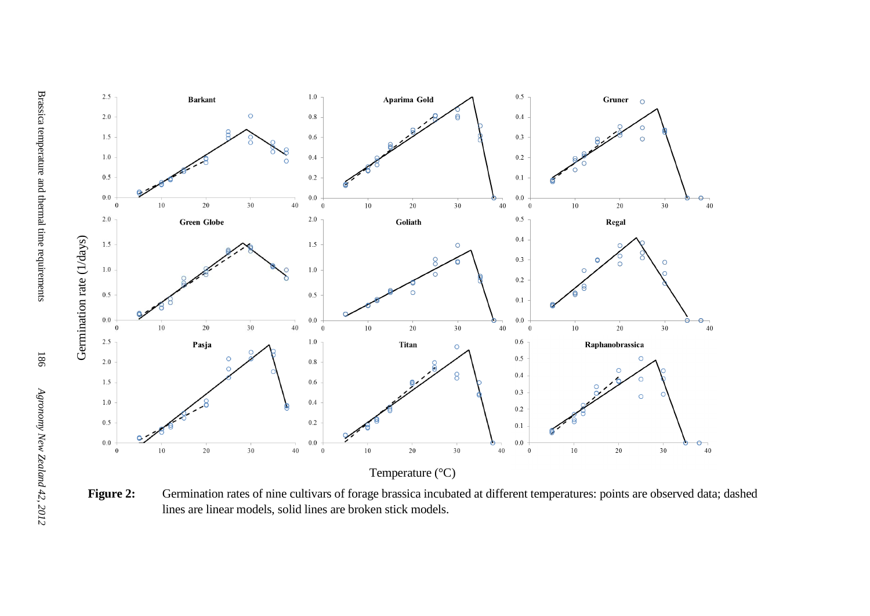

Figure 2: Germination rates of nine cultivars of forage brassica incubated at different temperatures: points are observed data; dashed lines are linear models, solid lines are broken stick models.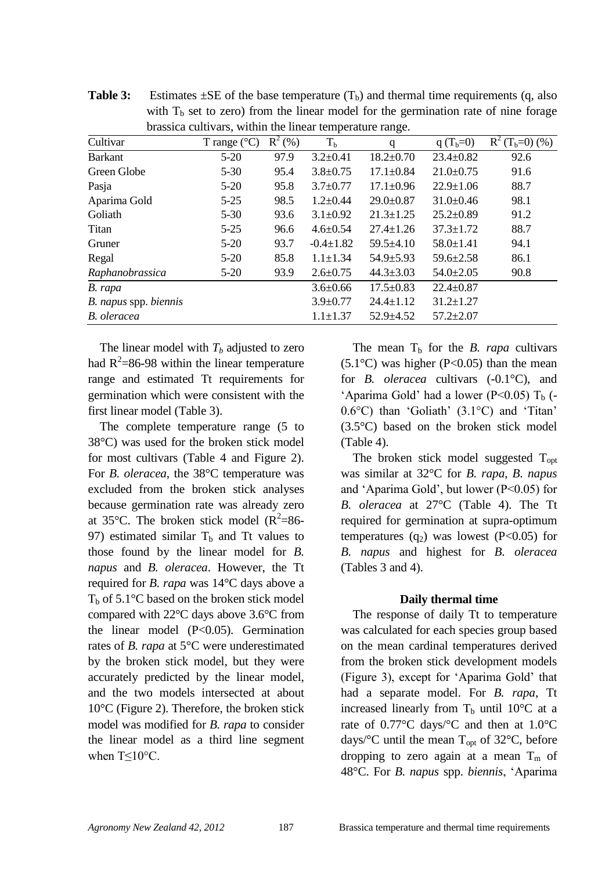| brassica cultivals, whill the filled temperature range. |                       |           |                 |                 |                 |                  |  |  |  |  |
|---------------------------------------------------------|-----------------------|-----------|-----------------|-----------------|-----------------|------------------|--|--|--|--|
| Cultivar                                                | T range $(^{\circ}C)$ | $R^2$ (%) | T <sub>b</sub>  | q               | q $(T_b=0)$     | $R^2(T_b=0)$ (%) |  |  |  |  |
| <b>Barkant</b>                                          | $5-20$                | 97.9      | $3.2 \pm 0.41$  | $18.2 \pm 0.70$ | $23.4 \pm 0.82$ | 92.6             |  |  |  |  |
| Green Globe                                             | $5 - 30$              | 95.4      | $3.8 \pm 0.75$  | $17.1 \pm 0.84$ | $21.0 \pm 0.75$ | 91.6             |  |  |  |  |
| Pasja                                                   | $5-20$                | 95.8      | $3.7 \pm 0.77$  | $17.1 \pm 0.96$ | $22.9 \pm 1.06$ | 88.7             |  |  |  |  |
| Aparima Gold                                            | $5-25$                | 98.5      | $1.2 \pm 0.44$  | $29.0 \pm 0.87$ | $31.0 \pm 0.46$ | 98.1             |  |  |  |  |
| Goliath                                                 | $5-30$                | 93.6      | $3.1 \pm 0.92$  | $21.3 \pm 1.25$ | $25.2 \pm 0.89$ | 91.2             |  |  |  |  |
| Titan                                                   | $5-25$                | 96.6      | $4.6 \pm 0.54$  | $27.4 \pm 1.26$ | $37.3 \pm 1.72$ | 88.7             |  |  |  |  |
| Gruner                                                  | $5-20$                | 93.7      | $-0.4 \pm 1.82$ | $59.5 \pm 4.10$ | $58.0 \pm 1.41$ | 94.1             |  |  |  |  |
| Regal                                                   | $5-20$                | 85.8      | $1.1 \pm 1.34$  | $54.9 \pm 5.93$ | $59.6 \pm 2.58$ | 86.1             |  |  |  |  |
| Raphanobrassica                                         | $5-20$                | 93.9      | $2.6 \pm 0.75$  | $44.3 \pm 3.03$ | $54.0 \pm 2.05$ | 90.8             |  |  |  |  |
| B. rapa                                                 |                       |           | $3.6 \pm 0.66$  | $17.5 \pm 0.83$ | $22.4 \pm 0.87$ |                  |  |  |  |  |
| B. napus spp. biennis                                   |                       |           | $3.9 \pm 0.77$  | $24.4 \pm 1.12$ | $31.2 \pm 1.27$ |                  |  |  |  |  |
| B. oleracea                                             |                       |           | $1.1 \pm 1.37$  | $52.9 \pm 4.52$ | $57.2 \pm 2.07$ |                  |  |  |  |  |

**Table 3:** Estimates  $\pm$ SE of the base temperature  $(T_b)$  and thermal time requirements  $(q, also)$ with  $T<sub>b</sub>$  set to zero) from the linear model for the germination rate of nine forage brassica cultivars, within the linear temperature range.

The linear model with  $T<sub>b</sub>$  adjusted to zero had  $R^2$ =86-98 within the linear temperature range and estimated Tt requirements for germination which were consistent with the first linear model (Table 3).

The complete temperature range (5 to 38°C) was used for the broken stick model for most cultivars (Table 4 and Figure 2). For *B. oleracea,* the 38°C temperature was excluded from the broken stick analyses because germination rate was already zero at 35°C. The broken stick model  $(R^2=86$ -97) estimated similar  $T_b$  and Tt values to those found by the linear model for *B. napus* and *B. oleracea*. However, the Tt required for *B. rapa* was 14°C days above a  $T<sub>b</sub>$  of 5.1°C based on the broken stick model compared with 22°C days above 3.6°C from the linear model (P<0.05). Germination rates of *B. rapa* at 5°C were underestimated by the broken stick model, but they were accurately predicted by the linear model, and the two models intersected at about 10°C (Figure 2). Therefore, the broken stick model was modified for *B. rapa* to consider the linear model as a third line segment when T<10<sup>o</sup>C.

The mean  $T<sub>b</sub>$  for the *B. rapa* cultivars  $(5.1^{\circ}$ C) was higher (P<0.05) than the mean for *B. oleracea* cultivars (-0.1°C), and 'Aparima Gold' had a lower (P<0.05)  $T<sub>b</sub>$  (- $0.6$ °C) than 'Goliath'  $(3.1$ °C) and 'Titan' (3.5°C) based on the broken stick model (Table 4).

The broken stick model suggested  $T_{\text{opt}}$ was similar at 32°C for *B. rapa*, *B. napus* and "Aparima Gold", but lower (P<0.05) for *B. oleracea* at 27°C (Table 4). The Tt required for germination at supra-optimum temperatures  $(q_2)$  was lowest (P<0.05) for *B. napus* and highest for *B. oleracea* (Tables 3 and 4).

#### **Daily thermal time**

The response of daily Tt to temperature was calculated for each species group based on the mean cardinal temperatures derived from the broken stick development models (Figure 3), except for "Aparima Gold" that had a separate model. For *B. rapa*, Tt increased linearly from  $T_b$  until 10°C at a rate of 0.77°C days/°C and then at 1.0°C days/ $\rm ^{o}C$  until the mean T<sub>opt</sub> of 32 $\rm ^{o}C$ , before dropping to zero again at a mean  $T_m$  of 48°C. For *B. napus* spp. *biennis*, "Aparima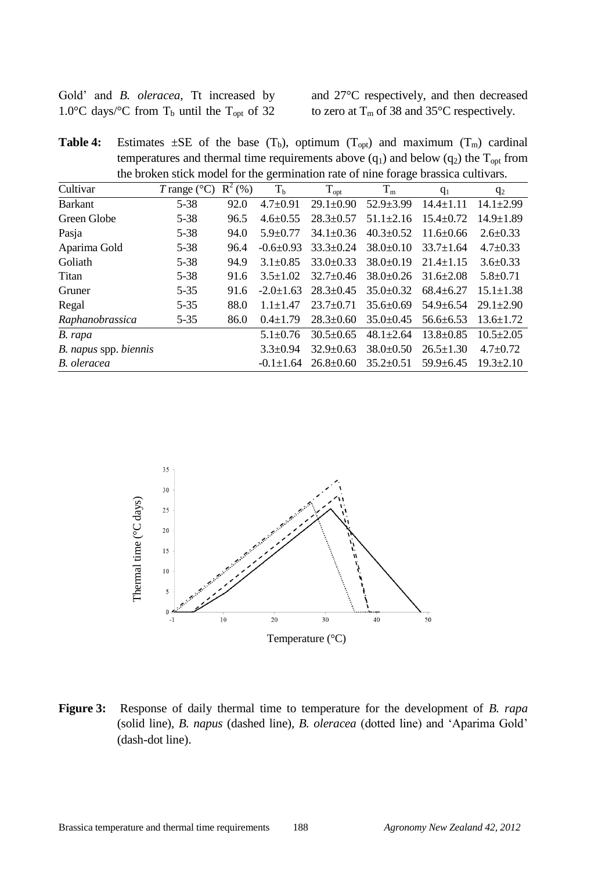| Gold' and <i>B. oleracea</i> , Tt increased by            |  |  |  |  |  |
|-----------------------------------------------------------|--|--|--|--|--|
| 1.0°C days/°C from $T_b$ until the $T_{\text{opt}}$ of 32 |  |  |  |  |  |

and 27°C respectively, and then decreased to zero at  $T_m$  of 38 and 35 $\degree$ C respectively.

**Table 4:** Estimates  $\pm$ SE of the base  $(T_b)$ , optimum  $(T_{opt})$  and maximum  $(T_m)$  cardinal temperatures and thermal time requirements above  $(q_1)$  and below  $(q_2)$  the  $T_{opt}$  from the broken stick model for the germination rate of nine forage brassica cultivars.

| Cultivar              | T range ( $^{\circ}$ C) R <sup>2</sup> (%) |      | T <sub>b</sub>  | $T_{opt}$       | $T_{m}$         | $q_1$           |                 |
|-----------------------|--------------------------------------------|------|-----------------|-----------------|-----------------|-----------------|-----------------|
|                       |                                            |      |                 |                 |                 |                 | $q_2$           |
| <b>Barkant</b>        | $5 - 38$                                   | 92.0 | $4.7 \pm 0.91$  | $29.1 \pm 0.90$ | $52.9 \pm 3.99$ | $14.4 \pm 1.11$ | $14.1 \pm 2.99$ |
| Green Globe           | $5 - 38$                                   | 96.5 | $4.6 \pm 0.55$  | $28.3 \pm 0.57$ | $51.1 \pm 2.16$ | $15.4 \pm 0.72$ | $14.9 \pm 1.89$ |
| Pasja                 | $5 - 38$                                   | 94.0 | $5.9 \pm 0.77$  | $34.1 \pm 0.36$ | $40.3 \pm 0.52$ | $11.6 \pm 0.66$ | $2.6 \pm 0.33$  |
| Aparima Gold          | $5 - 38$                                   | 96.4 | $-0.6\pm0.93$   | $33.3 \pm 0.24$ | $38.0\pm0.10$   | $33.7 \pm 1.64$ | $4.7 \pm 0.33$  |
| Goliath               | $5 - 38$                                   | 94.9 | $3.1 \pm 0.85$  | $33.0 \pm 0.33$ | $38.0 \pm 0.19$ | $21.4 \pm 1.15$ | $3.6 \pm 0.33$  |
| Titan                 | $5 - 38$                                   | 91.6 | $3.5 + 1.02$    | $32.7 \pm 0.46$ | $38.0 \pm 0.26$ | $31.6 \pm 2.08$ | $5.8 \pm 0.71$  |
| Gruner                | $5 - 35$                                   | 91.6 | $-2.0 \pm 1.63$ | $28.3 \pm 0.45$ | $35.0 \pm 0.32$ | $68.4 \pm 6.27$ | $15.1 \pm 1.38$ |
| Regal                 | $5 - 35$                                   | 88.0 | $1.1 + 1.47$    | $23.7 \pm 0.71$ | $35.6 \pm 0.69$ | $54.9 \pm 6.54$ | $29.1 \pm 2.90$ |
| Raphanobrassica       | $5 - 35$                                   | 86.0 | $0.4 \pm 1.79$  | $28.3 \pm 0.60$ | $35.0 \pm 0.45$ | $56.6 \pm 6.53$ | $13.6 \pm 1.72$ |
| B. rapa               |                                            |      | $5.1 \pm 0.76$  | $30.5 \pm 0.65$ | $48.1 \pm 2.64$ | $13.8 \pm 0.85$ | $10.5 \pm 2.05$ |
| B. napus spp. biennis |                                            |      | $3.3 \pm 0.94$  | $32.9 \pm 0.63$ | $38.0 \pm 0.50$ | $26.5 \pm 1.30$ | $4.7 \pm 0.72$  |
| B. oleracea           |                                            |      | $-0.1 \pm 1.64$ | $26.8 \pm 0.60$ | $35.2 \pm 0.51$ | $59.9 \pm 6.45$ | $19.3 \pm 2.10$ |



**Figure 3:** Response of daily thermal time to temperature for the development of *B. rapa* (solid line), *B. napus* (dashed line), *B. oleracea* (dotted line) and "Aparima Gold" (dash-dot line).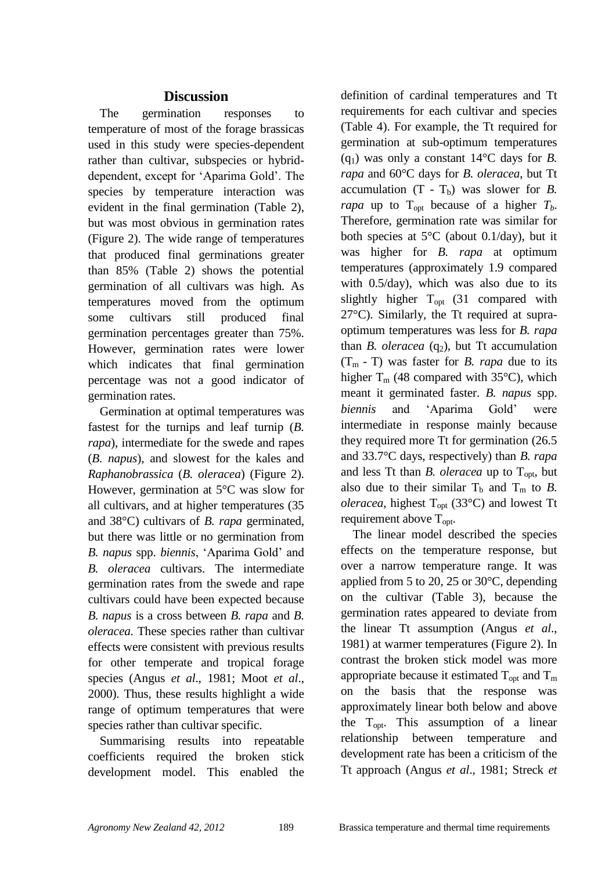### **Discussion**

The germination responses to temperature of most of the forage brassicas used in this study were species-dependent rather than cultivar, subspecies or hybriddependent, except for "Aparima Gold". The species by temperature interaction was evident in the final germination (Table 2), but was most obvious in germination rates (Figure 2). The wide range of temperatures that produced final germinations greater than 85% (Table 2) shows the potential germination of all cultivars was high. As temperatures moved from the optimum some cultivars still produced final germination percentages greater than 75%. However, germination rates were lower which indicates that final germination percentage was not a good indicator of germination rates.

Germination at optimal temperatures was fastest for the turnips and leaf turnip (*B. rapa*), intermediate for the swede and rapes (*B. napus*), and slowest for the kales and *Raphanobrassica* (*B. oleracea*) (Figure 2). However, germination at 5°C was slow for all cultivars, and at higher temperatures (35 and 38°C) cultivars of *B. rapa* germinated, but there was little or no germination from *B. napus* spp. *biennis*, "Aparima Gold" and *B. oleracea* cultivars. The intermediate germination rates from the swede and rape cultivars could have been expected because *B. napus* is a cross between *B. rapa* and *B. oleracea*. These species rather than cultivar effects were consistent with previous results for other temperate and tropical forage species (Angus *et al*., 1981; Moot *et al*., 2000). Thus, these results highlight a wide range of optimum temperatures that were species rather than cultivar specific.

Summarising results into repeatable coefficients required the broken stick development model. This enabled the

definition of cardinal temperatures and Tt requirements for each cultivar and species (Table 4). For example, the Tt required for germination at sub-optimum temperatures  $(q_1)$  was only a constant  $14^{\circ}$ C days for *B*. *rapa* and 60°C days for *B. oleracea*, but Tt accumulation  $(T - T_b)$  was slower for *B*. *rapa* up to  $T_{opt}$  because of a higher  $T_b$ . Therefore, germination rate was similar for both species at  $5^{\circ}$ C (about 0.1/day), but it was higher for *B. rapa* at optimum temperatures (approximately 1.9 compared with 0.5/day), which was also due to its slightly higher  $T_{opt}$  (31 compared with 27°C). Similarly, the Tt required at supraoptimum temperatures was less for *B. rapa* than *B. oleracea*  $(q_2)$ , but Tt accumulation  $(T_m - T)$  was faster for *B. rapa* due to its higher  $T_m$  (48 compared with 35 $\degree$ C), which meant it germinated faster. *B. napus* spp. *biennis* and 'Aparima Gold' were intermediate in response mainly because they required more Tt for germination (26.5 and 33.7°C days, respectively) than *B. rapa* and less Tt than *B. oleracea* up to  $T_{\text{opt}}$ , but also due to their similar  $T_b$  and  $T_m$  to *B*. *oleracea*, highest  $T_{opt}$  (33°C) and lowest Tt requirement above  $T_{\text{opt}}$ .

The linear model described the species effects on the temperature response, but over a narrow temperature range. It was applied from 5 to 20, 25 or 30°C, depending on the cultivar (Table 3), because the germination rates appeared to deviate from the linear Tt assumption (Angus *et al*., 1981) at warmer temperatures (Figure 2). In contrast the broken stick model was more appropriate because it estimated  $T_{\text{opt}}$  and  $T_{\text{m}}$ on the basis that the response was approximately linear both below and above the  $T_{\text{opt}}$ . This assumption of a linear relationship between temperature and development rate has been a criticism of the Tt approach (Angus *et al*., 1981; Streck *et*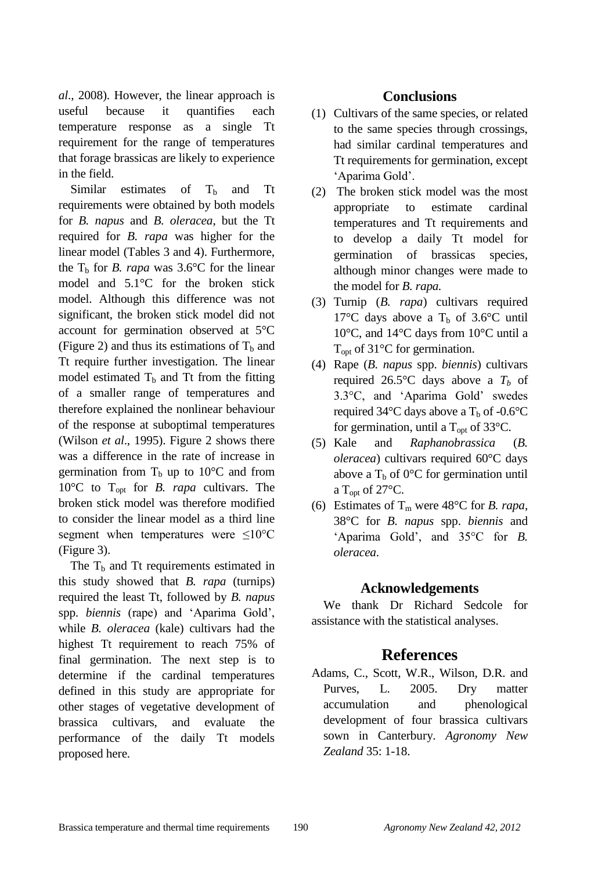*al*., 2008). However, the linear approach is useful because it quantifies each temperature response as a single Tt requirement for the range of temperatures that forage brassicas are likely to experience in the field.

Similar estimates of  $T<sub>b</sub>$  and Tt requirements were obtained by both models for *B. napus* and *B. oleracea*, but the Tt required for *B. rapa* was higher for the linear model (Tables 3 and 4). Furthermore, the  $T_b$  for *B. rapa* was 3.6°C for the linear model and 5.1°C for the broken stick model. Although this difference was not significant, the broken stick model did not account for germination observed at 5°C (Figure 2) and thus its estimations of  $T_b$  and Tt require further investigation. The linear model estimated  $T_b$  and Tt from the fitting of a smaller range of temperatures and therefore explained the nonlinear behaviour of the response at suboptimal temperatures (Wilson *et al*., 1995). Figure 2 shows there was a difference in the rate of increase in germination from  $T_b$  up to 10<sup>o</sup>C and from 10°C to Topt for *B. rapa* cultivars. The broken stick model was therefore modified to consider the linear model as a third line segment when temperatures were  $\leq 10^{\circ}$ C (Figure 3).

The  $T<sub>b</sub>$  and Tt requirements estimated in this study showed that *B. rapa* (turnips) required the least Tt, followed by *B. napus* spp. *biennis* (rape) and "Aparima Gold", while *B. oleracea* (kale) cultivars had the highest Tt requirement to reach 75% of final germination. The next step is to determine if the cardinal temperatures defined in this study are appropriate for other stages of vegetative development of brassica cultivars, and evaluate the performance of the daily Tt models proposed here.

### **Conclusions**

- (1) Cultivars of the same species, or related to the same species through crossings, had similar cardinal temperatures and Tt requirements for germination, except "Aparima Gold".
- (2) The broken stick model was the most appropriate to estimate cardinal temperatures and Tt requirements and to develop a daily Tt model for germination of brassicas species, although minor changes were made to the model for *B. rapa.*
- (3) Turnip (*B. rapa*) cultivars required 17°C days above a  $T_b$  of 3.6°C until 10°C, and 14°C days from 10°C until a  $T_{\text{opt}}$  of 31 $\textdegree$ C for germination.
- (4) Rape (*B. napus* spp. *biennis*) cultivars required 26.5 $\degree$ C days above a  $T_b$  of 3.3°C, and "Aparima Gold" swedes required 34 $\degree$ C days above a T<sub>b</sub> of -0.6 $\degree$ C for germination, until a  $T_{\text{opt}}$  of 33 $^{\circ}$ C.
- (5) Kale and *Raphanobrassica* (*B. oleracea*) cultivars required 60°C days above a  $T_b$  of 0°C for germination until a T<sub>opt</sub> of 27 $\mathrm{C}$ .
- (6) Estimates of  $T_m$  were 48<sup>o</sup>C for *B. rapa*, 38°C for *B. napus* spp. *biennis* and "Aparima Gold", and 35°C for *B. oleracea*.

### **Acknowledgements**

We thank Dr Richard Sedcole for assistance with the statistical analyses.

# **References**

Adams, C., Scott, W.R., Wilson, D.R. and Purves, L. 2005. Dry matter accumulation and phenological development of four brassica cultivars sown in Canterbury. *Agronomy New Zealand* 35: 1-18.